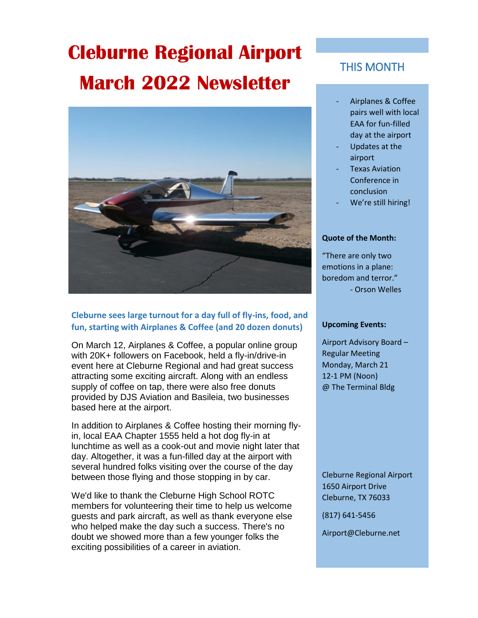# **Cleburne Regional Airport March 2022 Newsletter**



## **Cleburne sees large turnout for a day full of fly-ins, food, and fun, starting with Airplanes & Coffee (and 20 dozen donuts)**

On March 12, Airplanes & Coffee, a popular online group with 20K+ followers on Facebook, held a fly-in/drive-in event here at Cleburne Regional and had great success attracting some exciting aircraft. Along with an endless supply of coffee on tap, there were also free donuts provided by DJS Aviation and Basileia, two businesses based here at the airport.

In addition to Airplanes & Coffee hosting their morning flyin, local EAA Chapter 1555 held a hot dog fly-in at lunchtime as well as a cook-out and movie night later that day. Altogether, it was a fun-filled day at the airport with several hundred folks visiting over the course of the day between those flying and those stopping in by car.

We'd like to thank the Cleburne High School ROTC members for volunteering their time to help us welcome guests and park aircraft, as well as thank everyone else who helped make the day such a success. There's no doubt we showed more than a few younger folks the exciting possibilities of a career in aviation.

# THIS MONTH

- Airplanes & Coffee pairs well with local EAA for fun-filled day at the airport
- Updates at the airport
- **Texas Aviation** Conference in conclusion
- We're still hiring!

### **Quote of the Month:**

"There are only two emotions in a plane: boredom and terror." - Orson Welles

### **Upcoming Events:**

Airport Advisory Board – Regular Meeting Monday, March 21 12-1 PM (Noon) @ The Terminal Bldg

Cleburne Regional Airport 1650 Airport Drive Cleburne, TX 76033

(817) 641-5456

Airport@Cleburne.net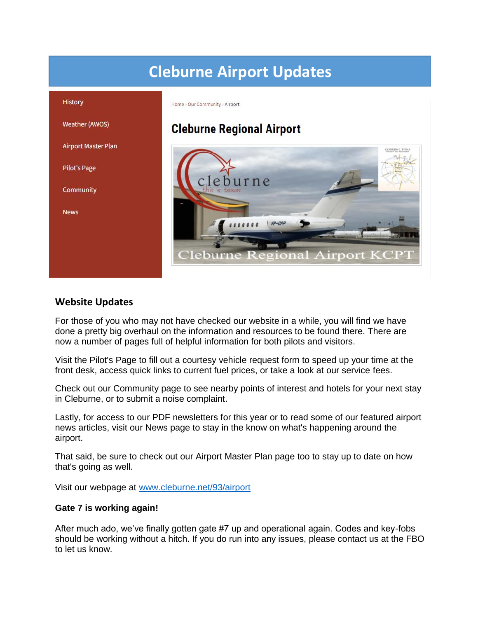# **Cleburne Airport Updates**



# **Website Updates**

For those of you who may not have checked our website in a while, you will find we have done a pretty big overhaul on the information and resources to be found there. There are now a number of pages full of helpful information for both pilots and visitors.

Visit the Pilot's Page to fill out a courtesy vehicle request form to speed up your time at the front desk, access quick links to current fuel prices, or take a look at our service fees.

Check out our Community page to see nearby points of interest and hotels for your next stay in Cleburne, or to submit a noise complaint.

Lastly, for access to our PDF newsletters for this year or to read some of our featured airport news articles, visit our News page to stay in the know on what's happening around the airport.

That said, be sure to check out our Airport Master Plan page too to stay up to date on how that's going as well.

Visit our webpage at [www.cleburne.net/93/airport](http://www.cleburne.net/93/airport)

## **Gate 7 is working again!**

After much ado, we've finally gotten gate #7 up and operational again. Codes and key-fobs should be working without a hitch. If you do run into any issues, please contact us at the FBO to let us know.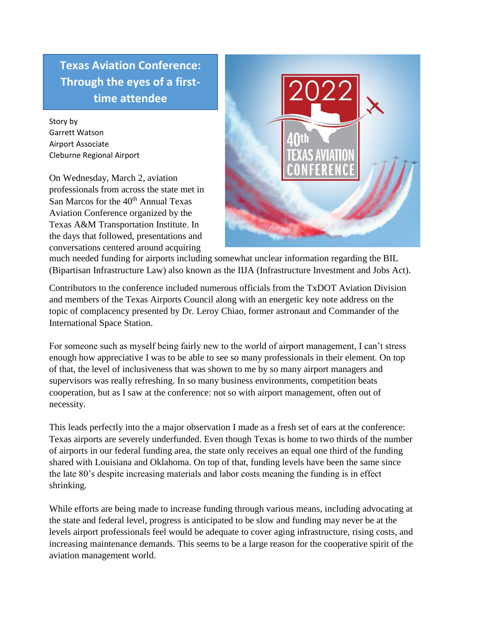**Texas Aviation Conference: Through the eyes of a firsttime attendee**

Story by Garrett Watson Airport Associate Cleburne Regional Airport

On Wednesday, March 2, aviation professionals from across the state met in San Marcos for the 40<sup>th</sup> Annual Texas Aviation Conference organized by the Texas A&M Transportation Institute. In the days that followed, presentations and conversations centered around acquiring



much needed funding for airports including somewhat unclear information regarding the BIL (Bipartisan Infrastructure Law) also known as the IIJA (Infrastructure Investment and Jobs Act).

Contributors to the conference included numerous officials from the TxDOT Aviation Division and members of the Texas Airports Council along with an energetic key note address on the topic of complacency presented by Dr. Leroy Chiao, former astronaut and Commander of the International Space Station.

For someone such as myself being fairly new to the world of airport management, I can't stress enough how appreciative I was to be able to see so many professionals in their element. On top of that, the level of inclusiveness that was shown to me by so many airport managers and supervisors was really refreshing. In so many business environments, competition beats cooperation, but as I saw at the conference: not so with airport management, often out of necessity.

This leads perfectly into the a major observation I made as a fresh set of ears at the conference: Texas airports are severely underfunded. Even though Texas is home to two thirds of the number of airports in our federal funding area, the state only receives an equal one third of the funding shared with Louisiana and Oklahoma. On top of that, funding levels have been the same since the late 80's despite increasing materials and labor costs meaning the funding is in effect shrinking.

While efforts are being made to increase funding through various means, including advocating at the state and federal level, progress is anticipated to be slow and funding may never be at the levels airport professionals feel would be adequate to cover aging infrastructure, rising costs, and increasing maintenance demands. This seems to be a large reason for the cooperative spirit of the aviation management world.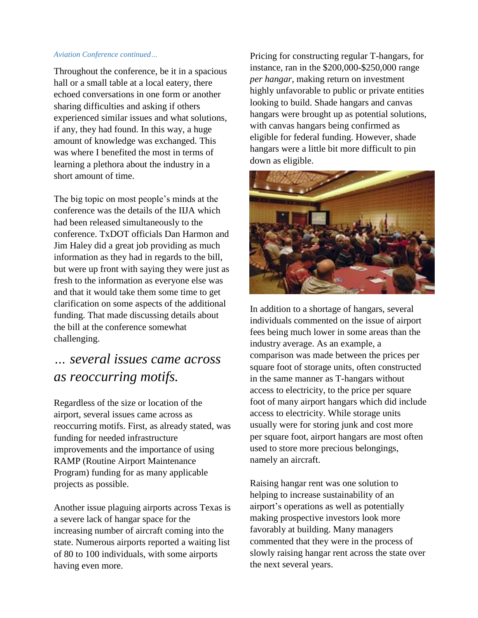#### *Aviation Conference continued…*

Throughout the conference, be it in a spacious hall or a small table at a local eatery, there echoed conversations in one form or another sharing difficulties and asking if others experienced similar issues and what solutions, if any, they had found. In this way, a huge amount of knowledge was exchanged. This was where I benefited the most in terms of learning a plethora about the industry in a short amount of time.

The big topic on most people's minds at the conference was the details of the IIJA which had been released simultaneously to the conference. TxDOT officials Dan Harmon and Jim Haley did a great job providing as much information as they had in regards to the bill, but were up front with saying they were just as fresh to the information as everyone else was and that it would take them some time to get clarification on some aspects of the additional funding. That made discussing details about the bill at the conference somewhat challenging.

# *… several issues came across as reoccurring motifs.*

Regardless of the size or location of the airport, several issues came across as reoccurring motifs. First, as already stated, was funding for needed infrastructure improvements and the importance of using RAMP (Routine Airport Maintenance Program) funding for as many applicable projects as possible.

Another issue plaguing airports across Texas is a severe lack of hangar space for the increasing number of aircraft coming into the state. Numerous airports reported a waiting list of 80 to 100 individuals, with some airports having even more.

Pricing for constructing regular T-hangars, for instance, ran in the \$200,000-\$250,000 range *per hangar*, making return on investment highly unfavorable to public or private entities looking to build. Shade hangars and canvas hangars were brought up as potential solutions, with canvas hangars being confirmed as eligible for federal funding. However, shade hangars were a little bit more difficult to pin down as eligible.



In addition to a shortage of hangars, several individuals commented on the issue of airport fees being much lower in some areas than the industry average. As an example, a comparison was made between the prices per square foot of storage units, often constructed in the same manner as T-hangars without access to electricity, to the price per square foot of many airport hangars which did include access to electricity. While storage units usually were for storing junk and cost more per square foot, airport hangars are most often used to store more precious belongings, namely an aircraft.

Raising hangar rent was one solution to helping to increase sustainability of an airport's operations as well as potentially making prospective investors look more favorably at building. Many managers commented that they were in the process of slowly raising hangar rent across the state over the next several years.